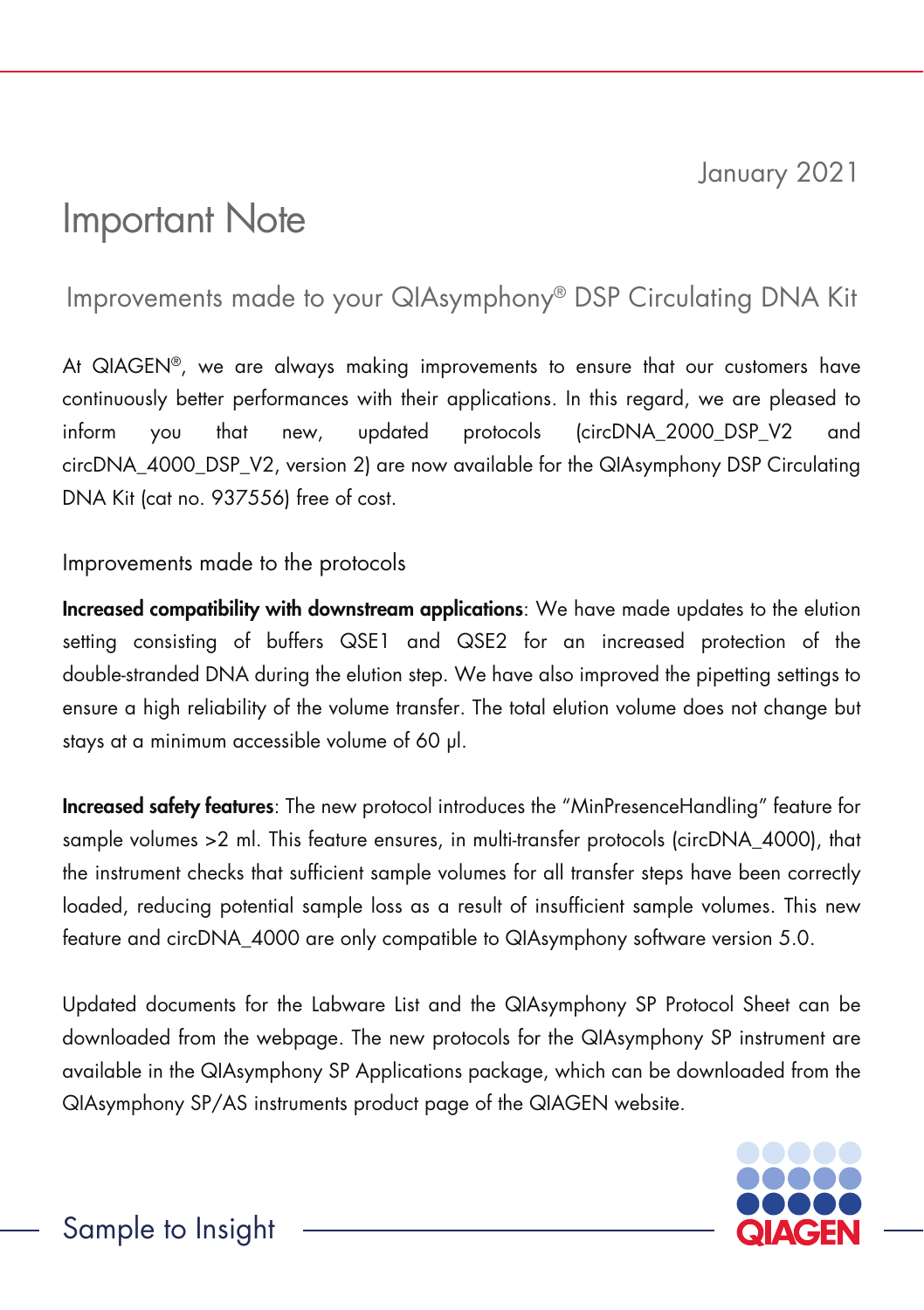January 2021

## Important Note

## Improvements made to your QIAsymphony® DSP Circulating DNA Kit

At QIAGEN®, we are always making improvements to ensure that our customers have continuously better performances with their applications. In this regard, we are pleased to inform you that new, updated protocols (circDNA\_2000\_DSP\_V2 and circDNA\_4000\_DSP\_V2, version 2) are now available for the QIAsymphony DSP Circulating DNA Kit (cat no. 937556) free of cost.

## Improvements made to the protocols

Increased compatibility with downstream applications: We have made updates to the elution setting consisting of buffers QSE1 and QSE2 for an increased protection of the double-stranded DNA during the elution step. We have also improved the pipetting settings to ensure a high reliability of the volume transfer. The total elution volume does not change but stays at a minimum accessible volume of 60 µl.

Increased safety features: The new protocol introduces the "MinPresenceHandling" feature for sample volumes >2 ml. This feature ensures, in multi-transfer protocols (circDNA\_4000), that the instrument checks that sufficient sample volumes for all transfer steps have been correctly loaded, reducing potential sample loss as a result of insufficient sample volumes. This new feature and circDNA\_4000 are only compatible to QIAsymphony software version 5.0.

Updated documents for the Labware List and the QIAsymphony SP Protocol Sheet can be downloaded from the webpage. The new protocols for the QIAsymphony SP instrument are available in the QIAsymphony SP Applications package, which can be downloaded from the QIAsymphony SP/AS instruments product page of the QIAGEN website.